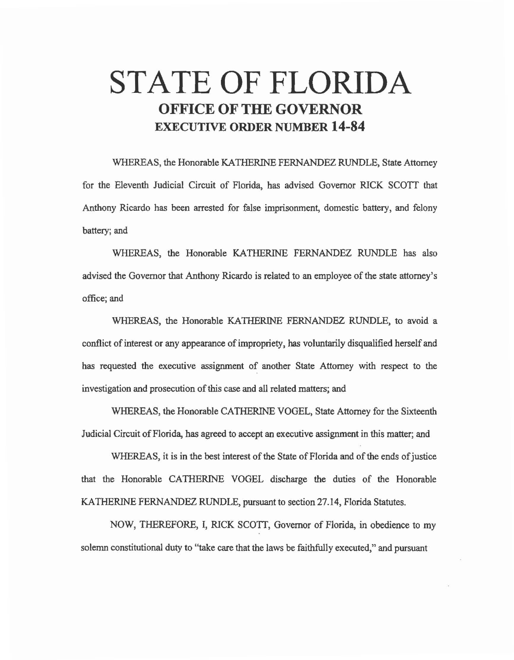# **STATE OF FLORIDA OFFICE OF THE GOVERNOR EXECUTIVE ORDER NUMBER 14-84**

WHEREAS, the Honorable KATHERINE FERNANDEZ RUNDLE, State Attorney for the Eleventh Judicial Circuit of Florida, has advised Governor RICK SCOTT that Anthony Ricardo has been arrested for false imprisonment, domestic battery, and felony battery; and

WHEREAS, the Honorable KATHERINE FERNANDEZ RUNDLE has also advised the Governor that Anthony Ricardo is related to an employee of the state attorney's office; and

WHEREAS, the Honorable KATHERINE FERNANDEZ RUNDLE, to avoid a conflict of interest or any appearance of impropriety, has voluntarily disqualified herself and has requested the executive assignment of another State Attorney with respect to the investigation and prosecution of this case and all related matters; and

WHEREAS, the Honorable CATHERINE VOGEL, State Attorney for the Sixteenth Judicial Circuit of Florida, has agreed to accept an executive assignment in this matter; and

WHEREAS, it is in the best interest of the State of Florida and of the ends of justice that the Honorable CATHERINE VOGEL discharge the duties of the Honorable KATHERINE FERNANDEZ RUNDLE, pursuant to section 27.14, Florida Statutes.

NOW, THEREFORE, I, RICK SCOTT, Governor of Florida, in obedience to my solemn constitutional duty to "take care that the laws be faithfully executed," and pursuant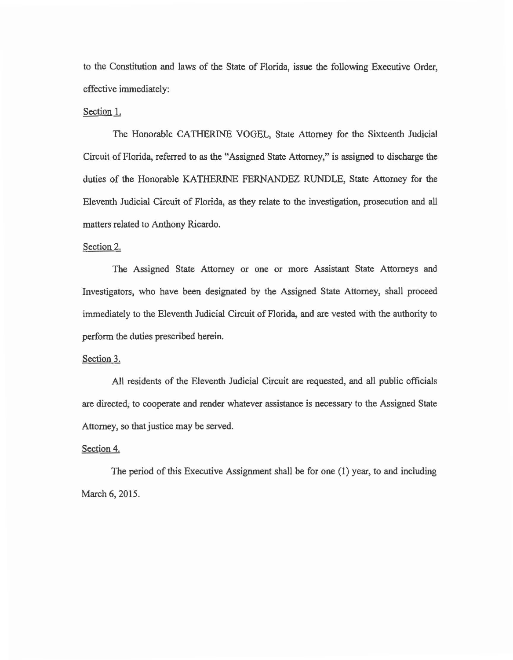to the Constitution and laws of the State of Florida, issue the following Executive Order, effective immediately:

## Section 1.

The Honorable CATHERINE VOGEL, State Attorney for the Sixteenth Judicial Circuit of Florida, referred to *as* the "Assigned State Attorney," is assigned to discharge the duties of the Honorable KATHERINE FERNANDEZ RUNDLE, State Attorney for the Eleventh Judicial Circuit of Florida, *as* they relate to the investigation, prosecution and all matters related to Anthony Ricardo.

#### Section 2.

The Assigned State Attorney or one or more Assistant State Attorneys and Investigators, who have been designated by the Assigned State Attorney, shall proceed immediately to the Eleventh Judicial Circuit of Florida, and are vested with the authority to perform the duties prescribed herein.

### Section 3.

All residents of the Eleventh Judicial Circuit are requested, and all public officials are directed; to cooperate and render whatever assistance is necessary to the Assigned State Attorney, so that justice may be served.

## Section 4.

The period of this Executive Assignment shall be for one (1) year, to and including March 6, 2015.